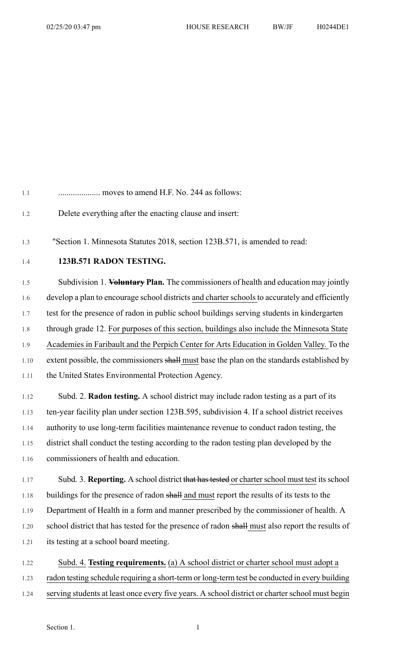| 1.1     | moves to amend H.F. No. 244 as follows:                                                        |
|---------|------------------------------------------------------------------------------------------------|
| 1.2     | Delete everything after the enacting clause and insert:                                        |
| 1.3     | "Section 1. Minnesota Statutes 2018, section 123B.571, is amended to read:                     |
| 1.4     | 123B.571 RADON TESTING.                                                                        |
| 1.5     | Subdivision 1. Voluntary Plan. The commissioners of health and education may jointly           |
| 1.6     | develop a plan to encourage school districts and charter schools to accurately and efficiently |
| 1.7     | test for the presence of radon in public school buildings serving students in kindergarten     |
| $1.8\,$ | through grade 12. For purposes of this section, buildings also include the Minnesota State     |
| 1.9     | Academies in Faribault and the Perpich Center for Arts Education in Golden Valley. To the      |
| 1.10    | extent possible, the commissioners shall must base the plan on the standards established by    |
| 1.11    | the United States Environmental Protection Agency.                                             |
| 1.12    | Subd. 2. Radon testing. A school district may include radon testing as a part of its           |
| 1.13    | ten-year facility plan under section 123B.595, subdivision 4. If a school district receives    |
| 1.14    | authority to use long-term facilities maintenance revenue to conduct radon testing, the        |
| 1.15    | district shall conduct the testing according to the radon testing plan developed by the        |
| 1.16    | commissioners of health and education.                                                         |

- 1.17 Subd. 3. **Reporting.** A school district that has tested or charter school must test its school 1.18 buildings for the presence of radon shall and must report the results of its tests to the 1.19 Department of Health in a form and manner prescribed by the commissioner of health. A 1.20 school district that has tested for the presence of radon shall must also report the results of 1.21 its testing at a school board meeting.
- 1.22 Subd. 4. **Testing requirements.** (a) A school district or charter school must adopt a 1.23 radon testing schedule requiring a short-term or long-term test be conducted in every building 1.24 serving students at least once every five years. A school district or charter school must begin